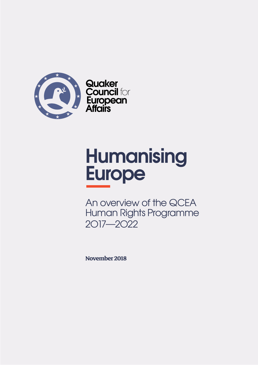

**Quaker<br>Council for** European<br>Affairs

# **Humanising Europe**

An overview of the QCEA Human Rights Programme 2O17—2O22

**November 2018**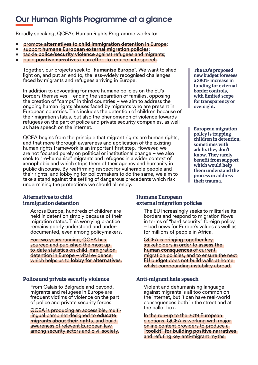## **Our Human Rights Programme at a glance**

Broadly speaking, QCEA's Human Rights Programme works to:

- promote **alternatives to child immigration detention** in Europe;
- support **humane European external migration policies**;
- tackle **police/security violence** against refugees and migrants;
- build **positive narratives** in an effort to reduce hate speech.

Together, our projects seek to "**humanise Europe**". We want to shed light on, and put an end to, the less-widely recognised challenges faced by migrants and refugees arriving in Europe.

In addition to advocating for more humane policies on the EU's borders themselves – ending the separation of families, opposing the creation of "camps" in third countries – we aim to address the ongoing human rights abuses faced by migrants who are present in European countries. This includes the detention of children because of their migration status, but also the phenomenon of violence towards refugees on the part of police and private security companies, as well as hate speech on the internet.

QCEA begins from the principle that migrant rights are human rights, and that more thorough awareness and application of the existing human rights framework is an important first step. However, we are not focused purely on political or institutional change – we also seek to "re-humanise" migrants and refugees in a wider context of xenophobia and which strips them of their agency and humanity in public discourse. By reaffirming respect for vulnerable people and their rights, and lobbying for policymakers to do the same, we aim to take a stand against the setting of dangerous precedents which risk undermining the protections we should all enjoy.

#### **Alternatives to child immigration detention**

Across Europe, hundreds of children are held in detention simply because of their migration status. This worrying practice remains poorly understood and underdocumented, even among policymakers.

For two years running, QCEA has sourced and published the most upto-date statistics on child immigration detention in Europe – vital evidence which helps us to **lobby for alternatives**.

#### **Police and private security violence**

From Calais to Belgrade and beyond, migrants and refugees in Europe are frequent victims of violence on the part of police and private security forces.

QCEA is producing an accessible, multilingual pamphlet designed to **educate migrants about their rights**, and build awareness of relevent European law among security actors and civil society.

**The EU**'**s proposed new budget foresees a 380% increase in funding for external border controls, with limited scope for transparency or oversight.**

**European migration policy is trapping children in detention, sometimes with adults they don**'**t know. They rarely benefit from support which would help them understand the process or address their trauma.**

#### **Humane European external migration policies**

The EU increasingly seeks to militarise its borders and respond to migration flows in terms of "hard security" foreign policy – bad news for Europe's values as well as for millions of people in Africa.

QCEA is bringing together key stakeholders in order to **assess the human consquences** of current migration policies, and to ensure the next EU budget does not build walls at home whilst compounding instability abroad.

#### **Anti-migrant hate speech**

Violent and dehumanising language against migrants is all too common on the internet, but it can have real-world consequences both in the street and at the ballot box.

In the run-up to the 2019 European elections, QCEA is working with major online content providers to produce a **"toolkit" for building positive narratives** and refuting key anti-migrant myths.